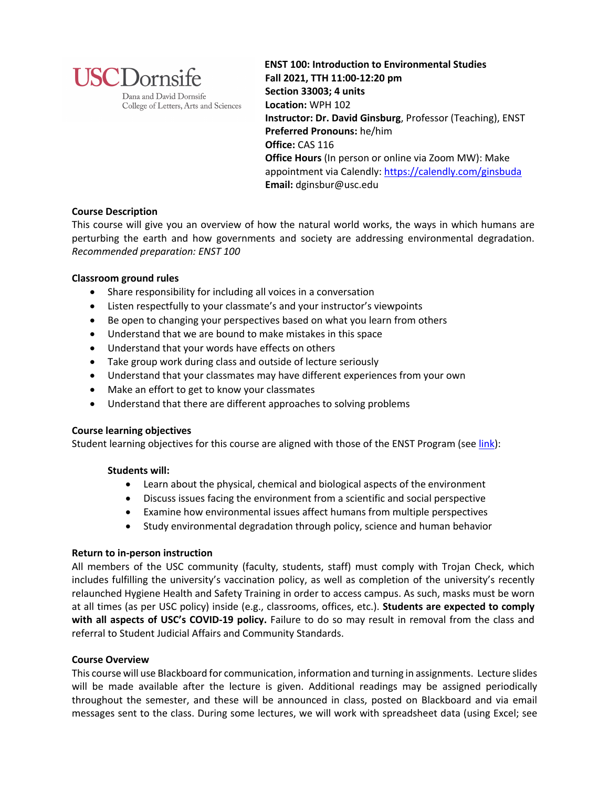

College of Letters, Arts and Sciences

**ENST 100: Introduction to Environmental Studies Fall 2021, TTH 11:00-12:20 pm Section 33003; 4 units Location:** WPH 102 **Instructor: Dr. David Ginsburg**, Professor (Teaching), ENST **Preferred Pronouns:** he/him **Office:** CAS 116 **Office Hours** (In person or online via Zoom MW): Make appointment via Calendly: https://calendly.com/ginsbuda **Email:** dginsbur@usc.edu

## **Course Description**

This course will give you an overview of how the natural world works, the ways in which humans are perturbing the earth and how governments and society are addressing environmental degradation. *Recommended preparation: ENST 100*

## **Classroom ground rules**

- Share responsibility for including all voices in a conversation
- Listen respectfully to your classmate's and your instructor's viewpoints
- Be open to changing your perspectives based on what you learn from others
- Understand that we are bound to make mistakes in this space
- Understand that your words have effects on others
- Take group work during class and outside of lecture seriously
- Understand that your classmates may have different experiences from your own
- Make an effort to get to know your classmates
- Understand that there are different approaches to solving problems

## **Course learning objectives**

Student learning objectives for this course are aligned with those of the ENST Program (see link):

## **Students will:**

- Learn about the physical, chemical and biological aspects of the environment
- Discuss issues facing the environment from a scientific and social perspective
- Examine how environmental issues affect humans from multiple perspectives
- Study environmental degradation through policy, science and human behavior

## **Return to in-person instruction**

All members of the USC community (faculty, students, staff) must comply with Trojan Check, which includes fulfilling the university's vaccination policy, as well as completion of the university's recently relaunched Hygiene Health and Safety Training in order to access campus. As such, masks must be worn at all times (as per USC policy) inside (e.g., classrooms, offices, etc.). **Students are expected to comply with all aspects of USC's COVID-19 policy.** Failure to do so may result in removal from the class and referral to Student Judicial Affairs and Community Standards.

## **Course Overview**

This course will use Blackboard for communication, information and turning in assignments. Lecture slides will be made available after the lecture is given. Additional readings may be assigned periodically throughout the semester, and these will be announced in class, posted on Blackboard and via email messages sent to the class. During some lectures, we will work with spreadsheet data (using Excel; see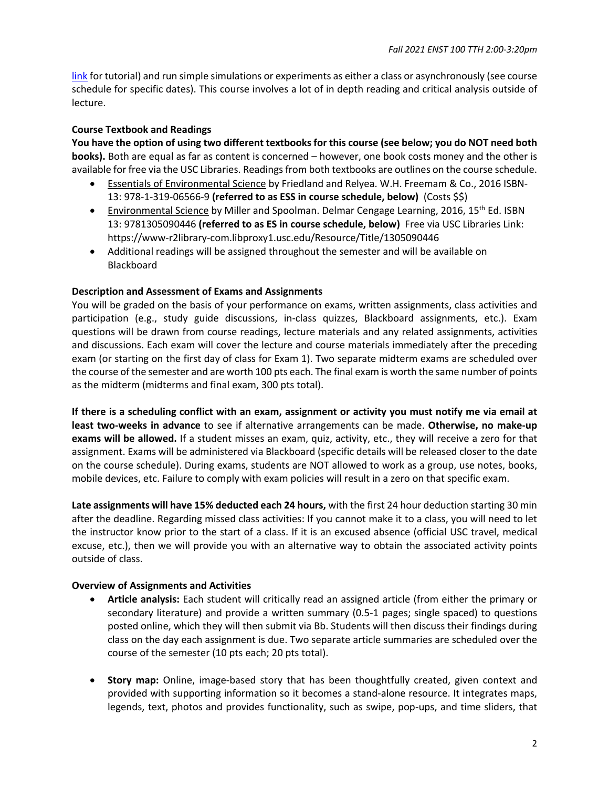link for tutorial) and run simple simulations or experiments as either a class or asynchronously (see course schedule for specific dates). This course involves a lot of in depth reading and critical analysis outside of lecture.

## **Course Textbook and Readings**

**You have the option of using two different textbooks for this course (see below; you do NOT need both books).** Both are equal as far as content is concerned – however, one book costs money and the other is available for free via the USC Libraries. Readings from both textbooks are outlines on the course schedule.

- Essentials of Environmental Science by Friedland and Relyea. W.H. Freemam & Co., 2016 ISBN-13: 978-1-319-06566-9 **(referred to as ESS in course schedule, below)** (Costs \$\$)
- Environmental Science by Miller and Spoolman. Delmar Cengage Learning, 2016, 15<sup>th</sup> Ed. ISBN 13: 9781305090446 **(referred to as ES in course schedule, below)** Free via USC Libraries Link: https://www-r2library-com.libproxy1.usc.edu/Resource/Title/1305090446
- Additional readings will be assigned throughout the semester and will be available on Blackboard

#### **Description and Assessment of Exams and Assignments**

You will be graded on the basis of your performance on exams, written assignments, class activities and participation (e.g., study guide discussions, in-class quizzes, Blackboard assignments, etc.). Exam questions will be drawn from course readings, lecture materials and any related assignments, activities and discussions. Each exam will cover the lecture and course materials immediately after the preceding exam (or starting on the first day of class for Exam 1). Two separate midterm exams are scheduled over the course of the semester and are worth 100 pts each. The final exam is worth the same number of points as the midterm (midterms and final exam, 300 pts total).

**If there is a scheduling conflict with an exam, assignment or activity you must notify me via email at least two-weeks in advance** to see if alternative arrangements can be made. **Otherwise, no make-up exams will be allowed.** If a student misses an exam, quiz, activity, etc., they will receive a zero for that assignment. Exams will be administered via Blackboard (specific details will be released closer to the date on the course schedule). During exams, students are NOT allowed to work as a group, use notes, books, mobile devices, etc. Failure to comply with exam policies will result in a zero on that specific exam.

**Late assignments will have 15% deducted each 24 hours,** with the first 24 hour deduction starting 30 min after the deadline. Regarding missed class activities: If you cannot make it to a class, you will need to let the instructor know prior to the start of a class. If it is an excused absence (official USC travel, medical excuse, etc.), then we will provide you with an alternative way to obtain the associated activity points outside of class.

## **Overview of Assignments and Activities**

- **Article analysis:** Each student will critically read an assigned article (from either the primary or secondary literature) and provide a written summary (0.5-1 pages; single spaced) to questions posted online, which they will then submit via Bb. Students will then discuss their findings during class on the day each assignment is due. Two separate article summaries are scheduled over the course of the semester (10 pts each; 20 pts total).
- **Story map:** Online, image-based story that has been thoughtfully created, given context and provided with supporting information so it becomes a stand-alone resource. It integrates maps, legends, text, photos and provides functionality, such as swipe, pop-ups, and time sliders, that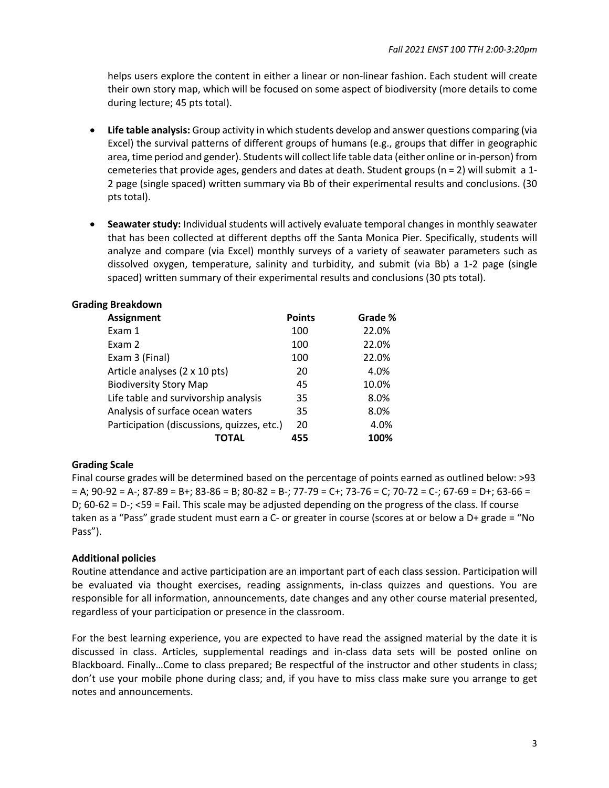helps users explore the content in either a linear or non-linear fashion. Each student will create their own story map, which will be focused on some aspect of biodiversity (more details to come during lecture; 45 pts total).

- **Life table analysis:** Group activity in which students develop and answer questions comparing (via Excel) the survival patterns of different groups of humans (e.g., groups that differ in geographic area, time period and gender). Students will collect life table data (either online or in-person) from cemeteries that provide ages, genders and dates at death. Student groups (n = 2) will submit a 1- 2 page (single spaced) written summary via Bb of their experimental results and conclusions. (30 pts total).
- **Seawater study:** Individual students will actively evaluate temporal changes in monthly seawater that has been collected at different depths off the Santa Monica Pier. Specifically, students will analyze and compare (via Excel) monthly surveys of a variety of seawater parameters such as dissolved oxygen, temperature, salinity and turbidity, and submit (via Bb) a 1-2 page (single spaced) written summary of their experimental results and conclusions (30 pts total).

| <b>Grading Breakdown</b>                   |               |         |
|--------------------------------------------|---------------|---------|
| <b>Assignment</b>                          | <b>Points</b> | Grade % |
| Exam 1                                     | 100           | 22.0%   |
| Exam 2                                     | 100           | 22.0%   |
| Exam 3 (Final)                             | 100           | 22.0%   |
| Article analyses (2 x 10 pts)              | 20            | 4.0%    |
| <b>Biodiversity Story Map</b>              | 45            | 10.0%   |
| Life table and survivorship analysis       | 35            | 8.0%    |
| Analysis of surface ocean waters           | 35            | 8.0%    |
| Participation (discussions, quizzes, etc.) | 20            | 4.0%    |
| ΤΟΤΑΙ                                      | 455           | 100%    |

# **Grading Scale**

Final course grades will be determined based on the percentage of points earned as outlined below: >93  $= A$ ; 90-92 = A-; 87-89 = B+; 83-86 = B; 80-82 = B-; 77-79 = C+; 73-76 = C; 70-72 = C-; 67-69 = D+; 63-66 = D; 60-62 = D-; <59 = Fail. This scale may be adjusted depending on the progress of the class. If course taken as a "Pass" grade student must earn a C- or greater in course (scores at or below a D+ grade = "No Pass").

## **Additional policies**

Routine attendance and active participation are an important part of each class session. Participation will be evaluated via thought exercises, reading assignments, in-class quizzes and questions. You are responsible for all information, announcements, date changes and any other course material presented, regardless of your participation or presence in the classroom.

For the best learning experience, you are expected to have read the assigned material by the date it is discussed in class. Articles, supplemental readings and in-class data sets will be posted online on Blackboard. Finally…Come to class prepared; Be respectful of the instructor and other students in class; don't use your mobile phone during class; and, if you have to miss class make sure you arrange to get notes and announcements.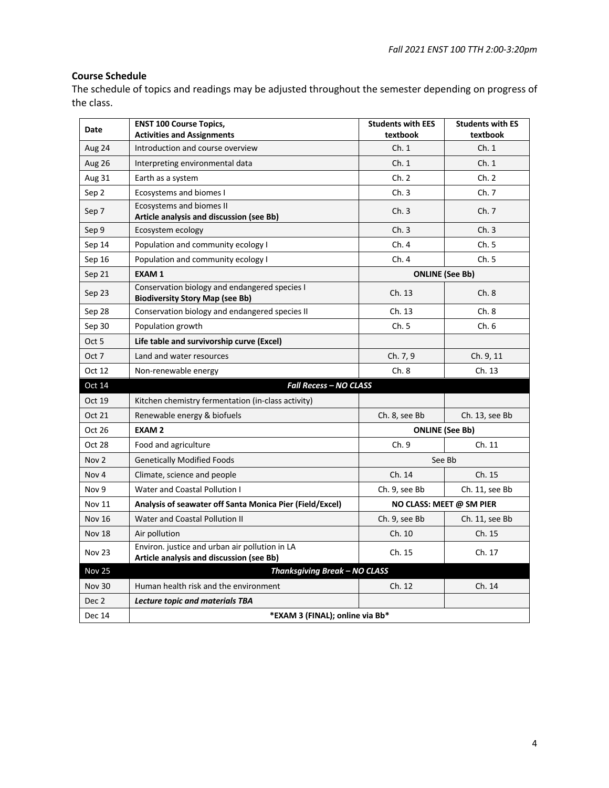## **Course Schedule**

The schedule of topics and readings may be adjusted throughout the semester depending on progress of the class.

| Date          | <b>ENST 100 Course Topics,</b><br><b>Activities and Assignments</b>                        | <b>Students with EES</b><br>textbook | <b>Students with ES</b><br>textbook |
|---------------|--------------------------------------------------------------------------------------------|--------------------------------------|-------------------------------------|
| Aug 24        | Introduction and course overview                                                           | Ch.1                                 | Ch.1                                |
| <b>Aug 26</b> | Interpreting environmental data                                                            | Ch.1                                 | Ch.1                                |
| Aug 31        | Earth as a system                                                                          | Ch. 2                                | Ch. 2                               |
| Sep 2         | Ecosystems and biomes I                                                                    | Ch.3                                 | Ch. 7                               |
| Sep 7         | <b>Ecosystems and biomes II</b><br>Article analysis and discussion (see Bb)                | Ch.3                                 | Ch. 7                               |
| Sep 9         | Ecosystem ecology                                                                          | Ch.3                                 | Ch.3                                |
| Sep 14        | Population and community ecology I                                                         | Ch.4                                 | Ch. 5                               |
| Sep 16        | Population and community ecology I                                                         | Ch. 4                                | Ch. 5                               |
| Sep 21        | <b>EXAM1</b>                                                                               | <b>ONLINE</b> (See Bb)               |                                     |
| Sep 23        | Conservation biology and endangered species I<br><b>Biodiversity Story Map (see Bb)</b>    | Ch. 13                               | Ch.8                                |
| Sep 28        | Conservation biology and endangered species II                                             | Ch. 13                               | Ch.8                                |
| Sep 30        | Population growth                                                                          | Ch.5                                 | Ch. 6                               |
| Oct 5         | Life table and survivorship curve (Excel)                                                  |                                      |                                     |
| Oct 7         | Land and water resources                                                                   | Ch. 7, 9                             | Ch. 9, 11                           |
| Oct 12        | Non-renewable energy                                                                       | Ch.8                                 | Ch. 13                              |
| Oct 14        | <b>Fall Recess - NO CLASS</b>                                                              |                                      |                                     |
| Oct 19        | Kitchen chemistry fermentation (in-class activity)                                         |                                      |                                     |
| Oct 21        | Renewable energy & biofuels                                                                | Ch. 8, see Bb                        | Ch. 13, see Bb                      |
| Oct 26        | <b>EXAM2</b>                                                                               | <b>ONLINE</b> (See Bb)               |                                     |
| Oct 28        | Food and agriculture                                                                       | Ch. 9                                | Ch. 11                              |
| Nov 2         | <b>Genetically Modified Foods</b>                                                          | See Bb                               |                                     |
| Nov 4         | Climate, science and people                                                                | Ch. 14                               | Ch. 15                              |
| Nov 9         | Water and Coastal Pollution I                                                              | Ch. 9, see Bb                        | Ch. 11, see Bb                      |
| <b>Nov 11</b> | Analysis of seawater off Santa Monica Pier (Field/Excel)                                   | NO CLASS: MEET @ SM PIER             |                                     |
| <b>Nov 16</b> | Water and Coastal Pollution II                                                             | Ch. 9, see Bb                        | Ch. 11, see Bb                      |
| <b>Nov 18</b> | Air pollution                                                                              | Ch. 10                               | Ch. 15                              |
| <b>Nov 23</b> | Environ. justice and urban air pollution in LA<br>Article analysis and discussion (see Bb) | Ch. 15                               | Ch. 17                              |
| <b>Nov 25</b> | Thanksgiving Break - NO CLASS                                                              |                                      |                                     |
| <b>Nov 30</b> | Human health risk and the environment                                                      | Ch. 12                               | Ch. 14                              |
| Dec 2         | <b>Lecture topic and materials TBA</b>                                                     |                                      |                                     |
| Dec 14        | *EXAM 3 (FINAL); online via Bb*                                                            |                                      |                                     |